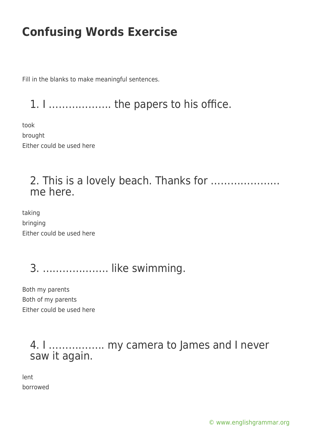Fill in the blanks to make meaningful sentences.

1. I ………………. the papers to his office.

took brought Either could be used here

### 2. This is a lovely beach. Thanks for ………………… me here.

taking bringing Either could be used here

# 3. ……………….. like swimming.

Both my parents Both of my parents Either could be used here

#### 4. I …………….. my camera to James and I never saw it again.

lent borrowed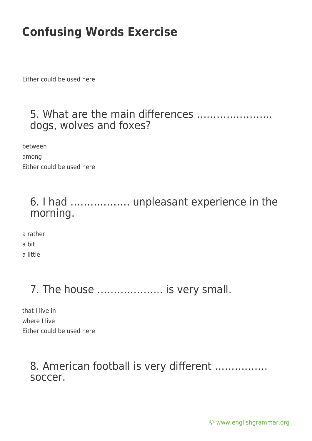Either could be used here

#### 5. What are the main differences ………………….. dogs, wolves and foxes?

between among Either could be used here

### 6. I had ……………… unpleasant experience in the morning.

a rather a bit a little

### 7. The house .................... is very small.

that I live in where I live Either could be used here

### 8. American football is very different ……………. soccer.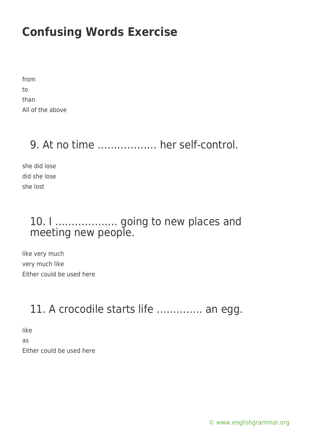| from             |  |
|------------------|--|
| to               |  |
| than             |  |
| All of the above |  |

### 9. At no time ……………… her self-control.

she did lose did she lose she lost

### 10. I ………………. going to new places and meeting new people.

like very much very much like Either could be used here

### 11. A crocodile starts life ………….. an egg.

like as Either could be used here